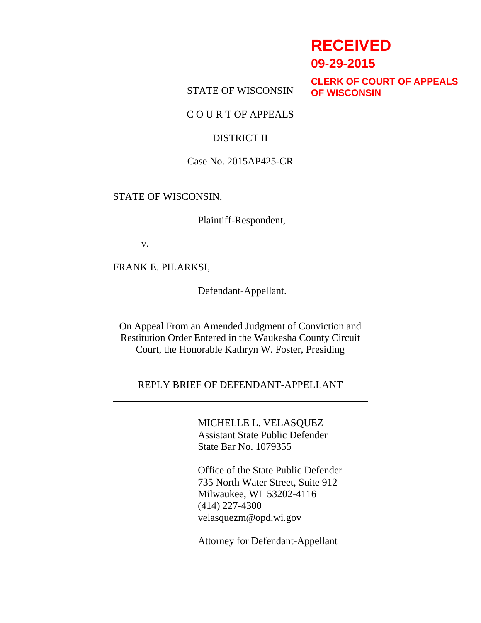# **RECEIVED**

**09-29-2015**

STATE OF WISCONSIN

**CLERK OF COURT OF APPEALS OF WISCONSIN**

C O U R T OF APPEALS

### DISTRICT II

### Case No. 2015AP425-CR

#### STATE OF WISCONSIN,

Plaintiff-Respondent,

v.

FRANK E. PILARKSI,

Defendant-Appellant.

On Appeal From an Amended Judgment of Conviction and Restitution Order Entered in the Waukesha County Circuit Court, the Honorable Kathryn W. Foster, Presiding

### REPLY BRIEF OF DEFENDANT-APPELLANT

MICHELLE L. VELASQUEZ Assistant State Public Defender State Bar No. 1079355

Office of the State Public Defender 735 North Water Street, Suite 912 Milwaukee, WI 53202-4116 (414) 227-4300 velasquezm@opd.wi.gov

Attorney for Defendant-Appellant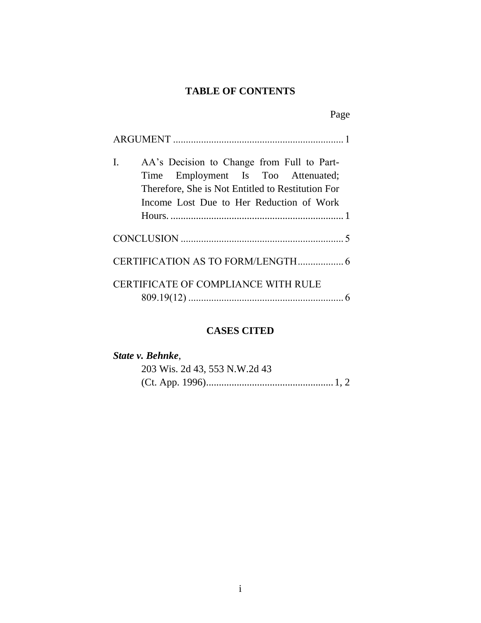## **TABLE OF CONTENTS**

| I. | AA's Decision to Change from Full to Part-<br>Time Employment Is Too Attenuated;<br>Therefore, She is Not Entitled to Restitution For<br>Income Lost Due to Her Reduction of Work |  |
|----|-----------------------------------------------------------------------------------------------------------------------------------------------------------------------------------|--|
|    |                                                                                                                                                                                   |  |
|    |                                                                                                                                                                                   |  |
|    | CERTIFICATE OF COMPLIANCE WITH RULE                                                                                                                                               |  |

### **CASES CITED**

| State v. Behnke,              |  |  |  |
|-------------------------------|--|--|--|
| 203 Wis. 2d 43, 553 N.W.2d 43 |  |  |  |
|                               |  |  |  |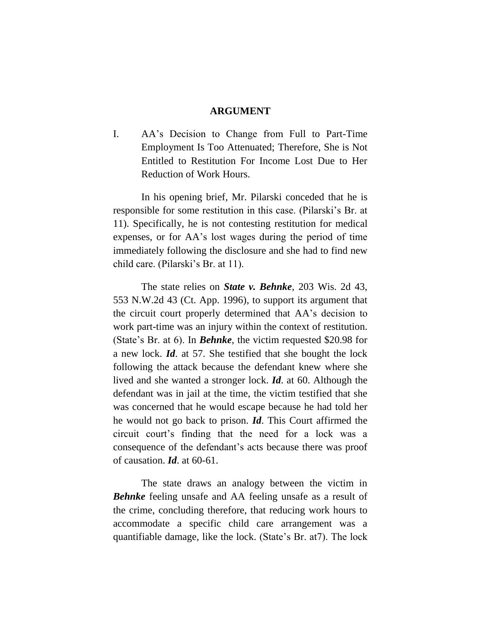#### **ARGUMENT**

I. AA's Decision to Change from Full to Part-Time Employment Is Too Attenuated; Therefore, She is Not Entitled to Restitution For Income Lost Due to Her Reduction of Work Hours.

In his opening brief, Mr. Pilarski conceded that he is responsible for some restitution in this case. (Pilarski's Br. at 11). Specifically, he is not contesting restitution for medical expenses, or for AA's lost wages during the period of time immediately following the disclosure and she had to find new child care. (Pilarski's Br. at 11).

The state relies on *State v. Behnke*, 203 Wis. 2d 43, 553 N.W.2d 43 (Ct. App. 1996), to support its argument that the circuit court properly determined that AA's decision to work part-time was an injury within the context of restitution. (State's Br. at 6). In *Behnke*, the victim requested \$20.98 for a new lock. *Id*. at 57. She testified that she bought the lock following the attack because the defendant knew where she lived and she wanted a stronger lock. *Id*. at 60. Although the defendant was in jail at the time, the victim testified that she was concerned that he would escape because he had told her he would not go back to prison. *Id*. This Court affirmed the circuit court's finding that the need for a lock was a consequence of the defendant's acts because there was proof of causation. *Id*. at 60-61.

The state draws an analogy between the victim in *Behnke* feeling unsafe and AA feeling unsafe as a result of the crime, concluding therefore, that reducing work hours to accommodate a specific child care arrangement was a quantifiable damage, like the lock. (State's Br. at7). The lock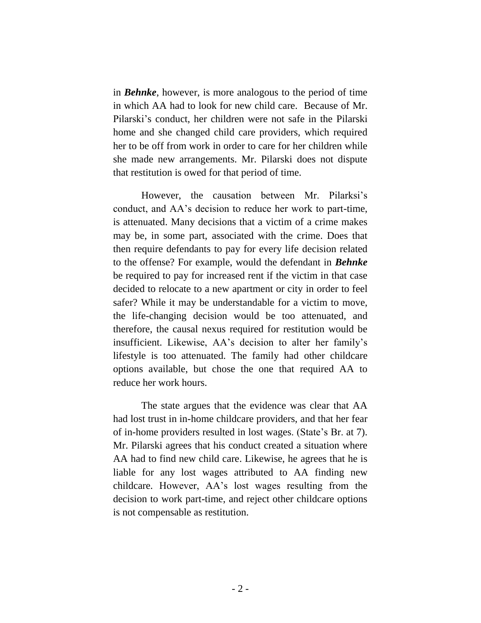in *Behnke*, however, is more analogous to the period of time in which AA had to look for new child care. Because of Mr. Pilarski's conduct, her children were not safe in the Pilarski home and she changed child care providers, which required her to be off from work in order to care for her children while she made new arrangements. Mr. Pilarski does not dispute that restitution is owed for that period of time.

However, the causation between Mr. Pilarksi's conduct, and AA's decision to reduce her work to part-time, is attenuated. Many decisions that a victim of a crime makes may be, in some part, associated with the crime. Does that then require defendants to pay for every life decision related to the offense? For example, would the defendant in *Behnke* be required to pay for increased rent if the victim in that case decided to relocate to a new apartment or city in order to feel safer? While it may be understandable for a victim to move, the life-changing decision would be too attenuated, and therefore, the causal nexus required for restitution would be insufficient. Likewise, AA's decision to alter her family's lifestyle is too attenuated. The family had other childcare options available, but chose the one that required AA to reduce her work hours.

The state argues that the evidence was clear that AA had lost trust in in-home childcare providers, and that her fear of in-home providers resulted in lost wages. (State's Br. at 7). Mr. Pilarski agrees that his conduct created a situation where AA had to find new child care. Likewise, he agrees that he is liable for any lost wages attributed to AA finding new childcare. However, AA's lost wages resulting from the decision to work part-time, and reject other childcare options is not compensable as restitution.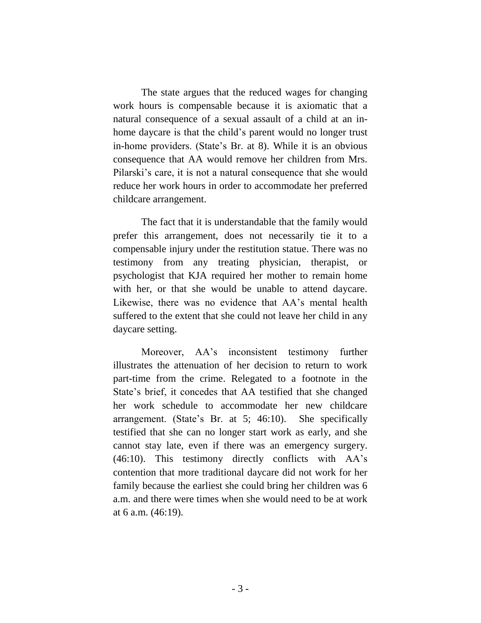The state argues that the reduced wages for changing work hours is compensable because it is axiomatic that a natural consequence of a sexual assault of a child at an inhome daycare is that the child's parent would no longer trust in-home providers. (State's Br. at 8). While it is an obvious consequence that AA would remove her children from Mrs. Pilarski's care, it is not a natural consequence that she would reduce her work hours in order to accommodate her preferred childcare arrangement.

The fact that it is understandable that the family would prefer this arrangement, does not necessarily tie it to a compensable injury under the restitution statue. There was no testimony from any treating physician, therapist, or psychologist that KJA required her mother to remain home with her, or that she would be unable to attend daycare. Likewise, there was no evidence that AA's mental health suffered to the extent that she could not leave her child in any daycare setting.

Moreover, AA's inconsistent testimony further illustrates the attenuation of her decision to return to work part-time from the crime. Relegated to a footnote in the State's brief, it concedes that AA testified that she changed her work schedule to accommodate her new childcare arrangement. (State's Br. at 5; 46:10). She specifically testified that she can no longer start work as early, and she cannot stay late, even if there was an emergency surgery. (46:10). This testimony directly conflicts with AA's contention that more traditional daycare did not work for her family because the earliest she could bring her children was 6 a.m. and there were times when she would need to be at work at 6 a.m. (46:19).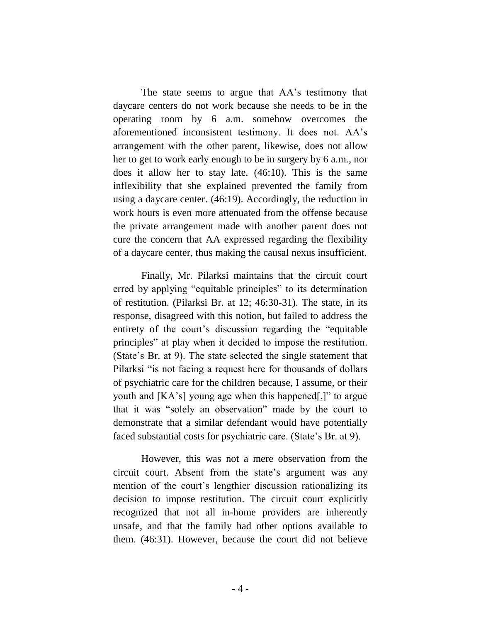The state seems to argue that AA's testimony that daycare centers do not work because she needs to be in the operating room by 6 a.m. somehow overcomes the aforementioned inconsistent testimony. It does not. AA's arrangement with the other parent, likewise, does not allow her to get to work early enough to be in surgery by 6 a.m., nor does it allow her to stay late. (46:10). This is the same inflexibility that she explained prevented the family from using a daycare center. (46:19). Accordingly, the reduction in work hours is even more attenuated from the offense because the private arrangement made with another parent does not cure the concern that AA expressed regarding the flexibility of a daycare center, thus making the causal nexus insufficient.

Finally, Mr. Pilarksi maintains that the circuit court erred by applying "equitable principles" to its determination of restitution. (Pilarksi Br. at 12; 46:30-31). The state, in its response, disagreed with this notion, but failed to address the entirety of the court's discussion regarding the "equitable principles" at play when it decided to impose the restitution. (State's Br. at 9). The state selected the single statement that Pilarksi "is not facing a request here for thousands of dollars of psychiatric care for the children because, I assume, or their youth and [KA's] young age when this happened[,]" to argue that it was "solely an observation" made by the court to demonstrate that a similar defendant would have potentially faced substantial costs for psychiatric care. (State's Br. at 9).

However, this was not a mere observation from the circuit court. Absent from the state's argument was any mention of the court's lengthier discussion rationalizing its decision to impose restitution. The circuit court explicitly recognized that not all in-home providers are inherently unsafe, and that the family had other options available to them. (46:31). However, because the court did not believe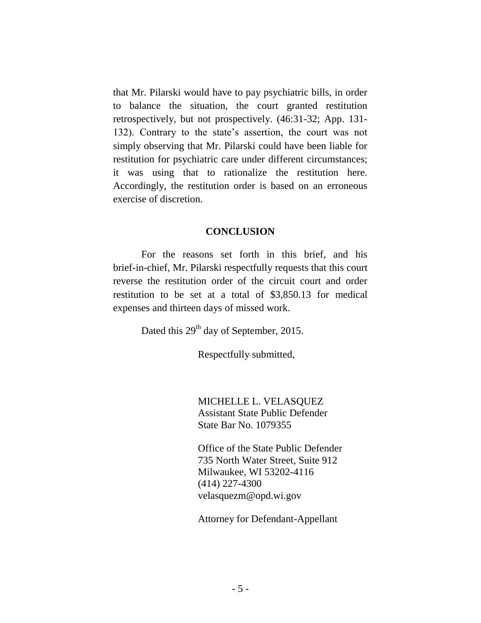that Mr. Pilarski would have to pay psychiatric bills, in order to balance the situation, the court granted restitution retrospectively, but not prospectively. (46:31-32; App. 131- 132). Contrary to the state's assertion, the court was not simply observing that Mr. Pilarski could have been liable for restitution for psychiatric care under different circumstances; it was using that to rationalize the restitution here. Accordingly, the restitution order is based on an erroneous exercise of discretion.

### **CONCLUSION**

For the reasons set forth in this brief, and his brief-in-chief, Mr. Pilarski respectfully requests that this court reverse the restitution order of the circuit court and order restitution to be set at a total of \$3,850.13 for medical expenses and thirteen days of missed work.

Dated this 29<sup>th</sup> day of September, 2015.

Respectfully submitted,

MICHELLE L. VELASQUEZ Assistant State Public Defender State Bar No. 1079355

Office of the State Public Defender 735 North Water Street, Suite 912 Milwaukee, WI 53202-4116 (414) 227-4300 velasquezm@opd.wi.gov

Attorney for Defendant-Appellant